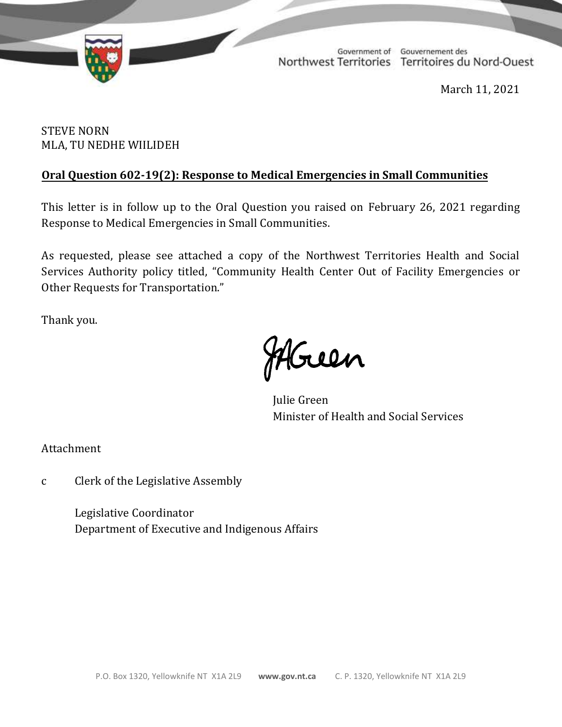

TD 358-19(2) TABLED ON MARCH 12, 2021

Government of Gouvernement des Northwest Territories Territoires du Nord-Ouest

March 11, 2021

# STEVE NORN MLA, TU NEDHE WIILIDEH

# **Oral Question 602-19(2): Response to Medical Emergencies in Small Communities**

This letter is in follow up to the Oral Question you raised on February 26, 2021 regarding Response to Medical Emergencies in Small Communities.

As requested, please see attached a copy of the Northwest Territories Health and Social Services Authority policy titled, "Community Health Center Out of Facility Emergencies or Other Requests for Transportation."

Thank you.

Mouen

Julie Green Minister of Health and Social Services

Attachment

c Clerk of the Legislative Assembly

Legislative Coordinator Department of Executive and Indigenous Affairs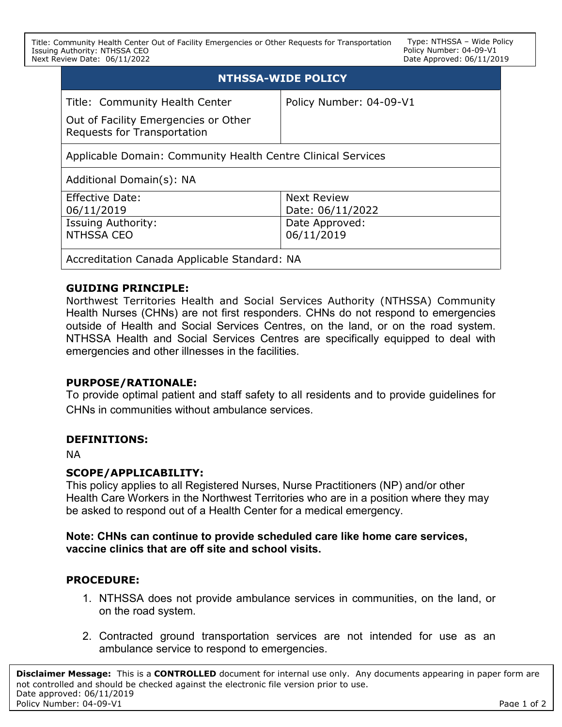Title: Community Health Center Out of Facility Emergencies or Other Requests for Transportation Issuing Authority: NTHSSA CEO Next Review Date: 06/11/2022

Type: NTHSSA – Wide Policy Policy Number: 04-09-V1 Date Approved: 06/11/2019

| <b>NTHSSA-WIDE POLICY</b>                                                  |                         |
|----------------------------------------------------------------------------|-------------------------|
| Title: Community Health Center                                             | Policy Number: 04-09-V1 |
| Out of Facility Emergencies or Other<br><b>Requests for Transportation</b> |                         |
| Applicable Domain: Community Health Centre Clinical Services               |                         |
| Additional Domain(s): NA                                                   |                         |
| Effective Date:                                                            | <b>Next Review</b>      |
| 06/11/2019                                                                 | Date: 06/11/2022        |
| <b>Issuing Authority:</b>                                                  | Date Approved:          |
| NTHSSA CEO                                                                 | 06/11/2019              |
| Accreditation Canada Applicable Standard: NA                               |                         |

### **GUIDING PRINCIPLE:**

Northwest Territories Health and Social Services Authority (NTHSSA) Community Health Nurses (CHNs) are not first responders. CHNs do not respond to emergencies outside of Health and Social Services Centres, on the land, or on the road system. NTHSSA Health and Social Services Centres are specifically equipped to deal with emergencies and other illnesses in the facilities.

#### **PURPOSE/RATIONALE:**

To provide optimal patient and staff safety to all residents and to provide guidelines for CHNs in communities without ambulance services.

#### **DEFINITIONS:**

NA

# **SCOPE/APPLICABILITY:**

This policy applies to all Registered Nurses, Nurse Practitioners (NP) and/or other Health Care Workers in the Northwest Territories who are in a position where they may be asked to respond out of a Health Center for a medical emergency.

### **Note: CHNs can continue to provide scheduled care like home care services, vaccine clinics that are off site and school visits.**

# **PROCEDURE:**

- 1. NTHSSA does not provide ambulance services in communities, on the land, or on the road system.
- 2. Contracted ground transportation services are not intended for use as an ambulance service to respond to emergencies.

**Disclaimer Message:** This is a **CONTROLLED** document for internal use only. Any documents appearing in paper form are not controlled and should be checked against the electronic file version prior to use. Date approved: 06/11/2019 Policy Number: 04-09-V1 Page 1 of 2